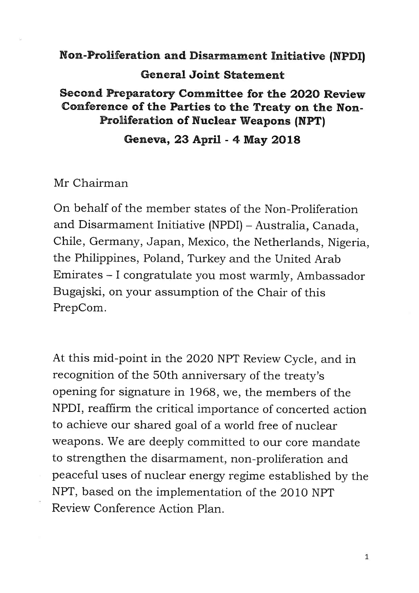Non-Proliferation and Disarmament Initiative (NPDI)

General Joint Statement

## Second Preparatory Committee for the 2020 Review Conference of the Parties to the Treaty on the Non-Proliferation of Nuclear Weapons (NPT)

Geneva, 23 April - 4 May 2018

## Mr Chairman

On behalf of the member states of the Non-Proliferation and Disarmament Initiative (NPDI) - Australia, Canada, Chile, Germany, Japan, Mexico, the Netherlands, Nigeria, the Philippines, Poland, Turkey and the United Arab Emirates - I congratulate you most warmly, Ambassador Bugajski, on your assumption of the Chair of this PrepCom.

At this mid-point in the 2020 NPT Review Cycle, and in recognition of the 50th anniversary of the treaty's opening for signature in 1968, we, the members of the NPDI, reaffirm the critical importance of concerted action to achieve our shared goal of a world free of nuclear weapons. We are deeply committed to our core mandate to strengthen the disarmament, non-proliferation and peaceful uses of nuclear energy regime established by the NPT, based on the implementation of the 2010 NFI' Review Conference Action Plan.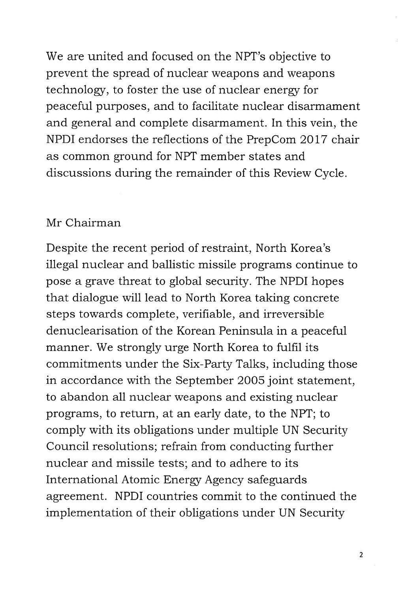We are united and focused on the NFI"s objective to prevent the spread of nuclear weapons and weapons technology, to foster the use of nuclear energy for peaceful purposes, and to facilitate nuclear disarmament and general and complete disarmament. In this vein, the NPDI endorses the reflections of the PrepCom 2017 chair as common ground for NPT member states and discussions during the remainder of this Review Cycle.

## Mr Chairman

Despite the recent period of restraint, North Korea's illegal nuclear and ballistic missile programs continue to pose a grave threat to global security. The NPDI hopes that dialogue will lead to North Korea taking concrete steps towards complete, verifiable, and irreversible denuclearisation of the Korean Peninsula in a peaceful manner. We strongly urge North Korea to fulfil its commitments under the Six-Party Talks, including those in accordance with the September 2005 joint statement, to abandon all nuclear weapons and existing nuclear programs, to return, at an early date, to the NPT; to comply with its obligations under multiple UN Security Council resolutions; refrain from conducting further nuclear and missile tests; and to adhere to its International Atomic Energy Agency safeguards agreement. NPDI countries commit to the continued the implementation of their obligations under UN Security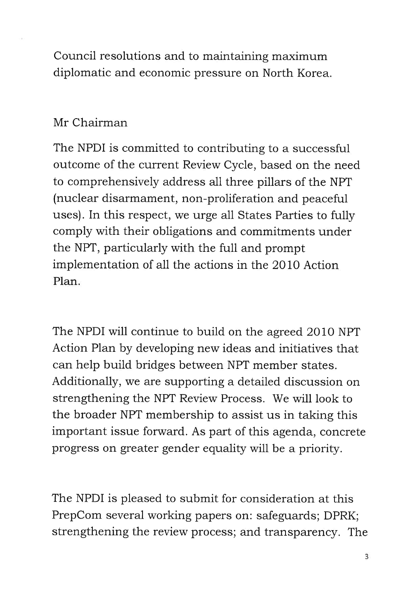Council resolutions and to maintaining maximum diplomatic and economic pressure on North Korea.

# Mr Chairman

The NPDI is committed to contributing to a successful outcome of the current Review Cycle, based on the need to comprehensively address all three pillars of the NFI' (nuclear disarmament, non-proliferation and peaceful uses). In this respect, we urge all States Parties to fully comply with their obligations and commitments under the NPT, particularly with the full and prompt implementation of all the actions in the 2010 Action Plan.

The NPDI will continue to build on the agreed 2010 NPT Action Plan by developing new ideas and initiatives that can help build bridges between NPT member states. Additionally, we are supporting a detailed discussion on strengthening the NPT Review Process. We will look to the broader NPT membership to assist us in taking this important issue forward. As part of this agenda, concrete progress on greater gender equality will be a priority.

The NPDI is pleased to submit for consideration at this PrepCom several working papers on: safeguards; DPRK; strengthening the review process; and transparency. The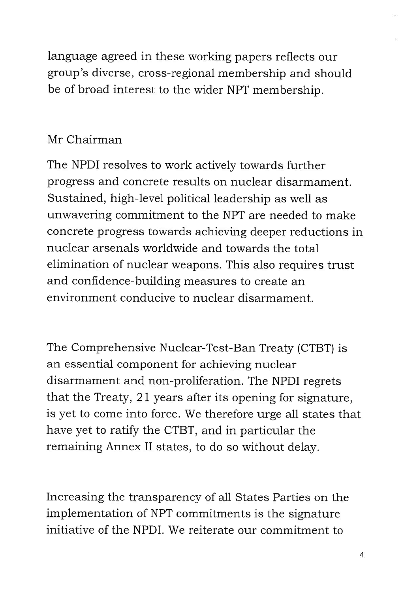language agreed in these working papers reflects our group's diverse, cross-regional membership and should be of broad interest to the wider NPT membership.

# Mr Chairman

The NPDI resolves to work actively towards further progress and concrete results on nuclear disarmament. Sustained, high-level political leadership as well as unwavering commitment to the NPT are needed to make concrete progress towards achieving deeper reductions in nudear arsenals worldwide and towards the total elimination of nuclear weapons. This also requires trust and confidence-building measures to create an environment conducive to nuclear disarmament.

The Comprehensive Nuclear-Test-Ban Treaty (CTBT) is an essential component for achieving nuclear disarmament and non-proliferation. The NPDI regrets that the Treaty, 21 years after its opening for signature, is yet to come into force. We therefore urge all states that have yet to ratify the CTBT, and in particular the remaining Annex II states, to do so without delay.

Increasing the transparency of all States Parties on the implementation of NPT commitments is the signature initiative of the NPDI. We reiterate our commitment to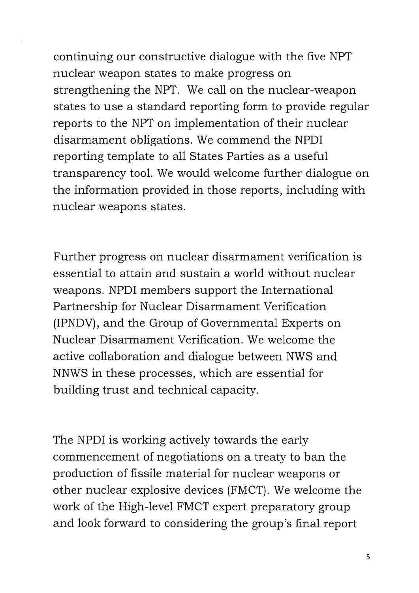continuing our constructive dialogue with the five NFI' nuclear weapon states to make progress on strengthening the NPT. We call on the nuclear-weapon states to use a standard reporting form to provide regular reports to the NFI' on implementation of their nuclear disarmament obligations. We commend the NPDI reporting template to all States Parties as a useful transparency tool. We would welcome further dialogue on the information provided in those reports, including with nuclear weapons states.

Further progress on nuclear disarmament verification is essential to attain and sustain a world without nuclear weapons. NPDI members support the International Partnership for Nuclear Disarmament Verification (IPNDV), and the Group of Governmental Experts on Nuclear Disarmament Verification. We welcome the active collaboration and dialogue between NWS and NNWS in these processes, which are essential for building trust and technical capacity.

The NPDI is working actively towards the early commencement of negotiations on a treaty to ban the production of fissile material for nuclear weapons or other nuclear explosive devices (FMCT). We welcome the work of the High-level FMCT expert preparaatory group and look forward to considering the group's final report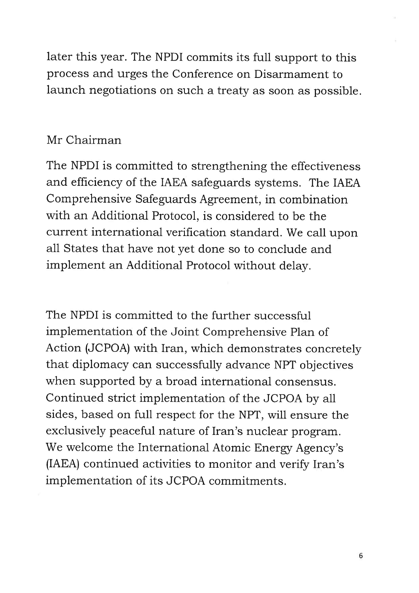later this year. The NPDI commits its full support to this process and urges the Conference on Disarmament to launch negotiations on such a treaty as soon as possible.

# Mr Chairman

The NPDI is committed to strengthening the effectiveness and efficiency of the IAEA safeguards systems. The IAEA Comprehensive Safeguards Agreement, in combination with an Additional Protocol, is considered to be the current international verification standard. We call upon all States that have not yet done so to conclude and implement an Additional Protocol without delay.

The NPDI is committed to the further successful implementation of the Joint Comprehensive Plan of Action (JCPOA) with Iran, which demonstrates concretely that diplomacy can successfully advance NPT objectives when supported by a broad international consensus. Continued strict implementation of the JCPOA by all sides, based on full respect for the NPT, will ensure the exclusively peaceful nature of Iran's nuclear program. We welcome the International Atomic Energy Agency's (IAEA) continued activities to monitor and verify Iran's implementation of its JCPOA commitments.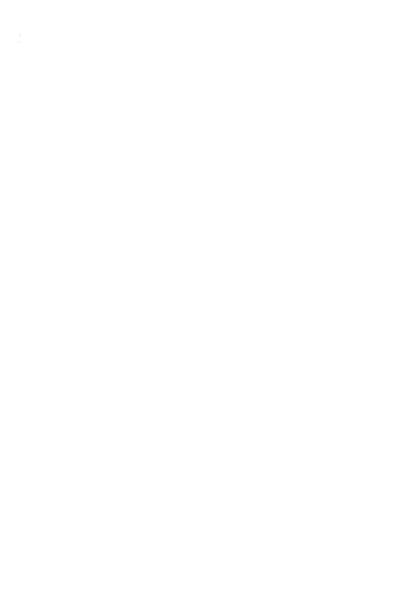$\frac{6}{3}$